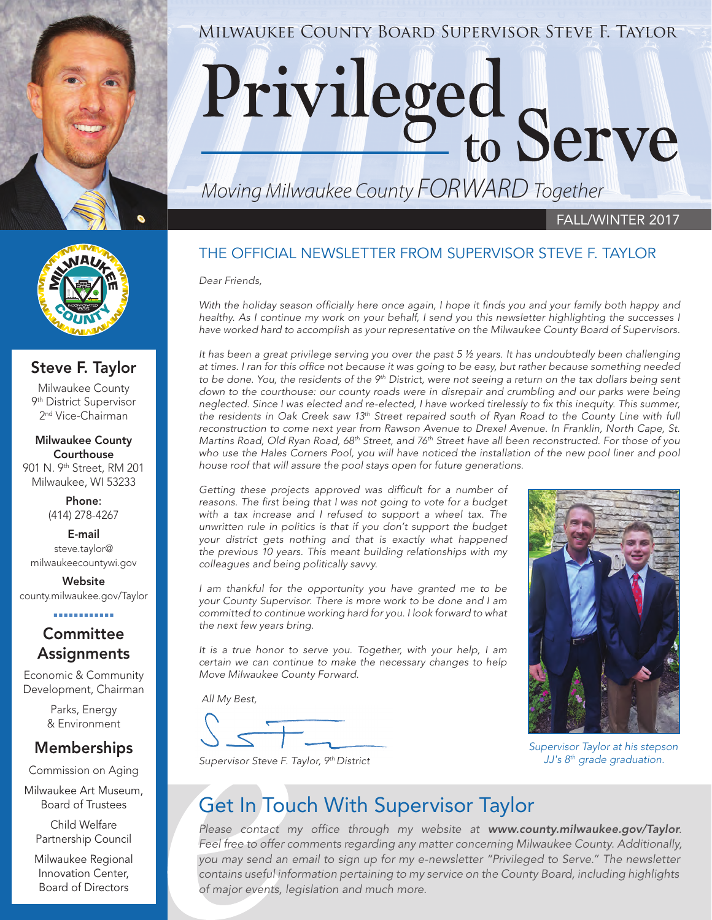

# MILWAUKEE COUNTY BOARD SUPERVISOR STEVE F. TAYLOR

#### *Moving Milwaukee County FORWARD Together*

#### FALL/WINTER 2017

#### THE OFFICIAL NEWSLETTER FROM SUPERVISOR STEVE F. TAYLOR

*Dear Friends,*

*With the holiday season officially here once again, I hope it finds you and your family both happy and*  healthy. As I continue my work on your behalf, I send you this newsletter highlighting the successes I *have worked hard to accomplish as your representative on the Milwaukee County Board of Supervisors.*

*It has been a great privilege serving you over the past 5 ½ years. It has undoubtedly been challenging at times. I ran for this office not because it was going to be easy, but rather because something needed*  to be done. You, the residents of the 9<sup>th</sup> District, were not seeing a return on the tax dollars being sent down to the courthouse: our county roads were in disrepair and crumbling and our parks were being *neglected. Since I was elected and re-elected, I have worked tirelessly to fix this inequity. This summer, the residents in Oak Creek saw 13th Street repaired south of Ryan Road to the County Line with full reconstruction to come next year from Rawson Avenue to Drexel Avenue. In Franklin, North Cape, St. Martins Road, Old Ryan Road, 68th Street, and 76th Street have all been reconstructed. For those of you*  who use the Hales Corners Pool, you will have noticed the installation of the new pool liner and pool *house roof that will assure the pool stays open for future generations.*

*Getting these projects approved was difficult for a number of reasons. The first being that I was not going to vote for a budget with a tax increase and I refused to support a wheel tax. The unwritten rule in politics is that if you don't support the budget your district gets nothing and that is exactly what happened the previous 10 years. This meant building relationships with my colleagues and being politically savvy.*

*I am thankful for the opportunity you have granted me to be your County Supervisor. There is more work to be done and I am committed to continue working hard for you. I look forward to what the next few years bring.*

*It is a true honor to serve you. Together, with your help, I am certain we can continue to make the necessary changes to help Move Milwaukee County Forward.*

 *All My Best,*



*Supervisor Taylor at his stepson JJ's 8th grade graduation.*

*Supervisor Steve F. Taylor, 9th District*

#### Get In Touch With Supervisor Taylor

*Please contact my office through my website at www.county.milwaukee.gov/Taylor. Feel free to offer comments regarding any matter concerning Milwaukee County. Additionally, you may send an email to sign up for my e-newsletter "Privileged to Serve." The newsletter contains useful information pertaining to my service on the County Board, including highlights of major events, legislation and much more.* 



#### Steve F. Taylor

Milwaukee County 9th District Supervisor 2<sup>nd</sup> Vice-Chairman

Milwaukee County Courthouse 901 N. 9th Street, RM 201 Milwaukee, WI 53233

> Phone: (414) 278-4267

E-mail steve.taylor@ milwaukeecountywi.gov

**Website** county.milwaukee.gov/Taylor

#### . . . . . . . . . . . .

#### **Committee Assignments**

Economic & Community Development, Chairman

> Parks, Energy & Environment

#### Memberships

Commission on Aging

Milwaukee Art Museum, Board of Trustees

Child Welfare Partnership Council

Milwaukee Regional Innovation Center, Board of Directors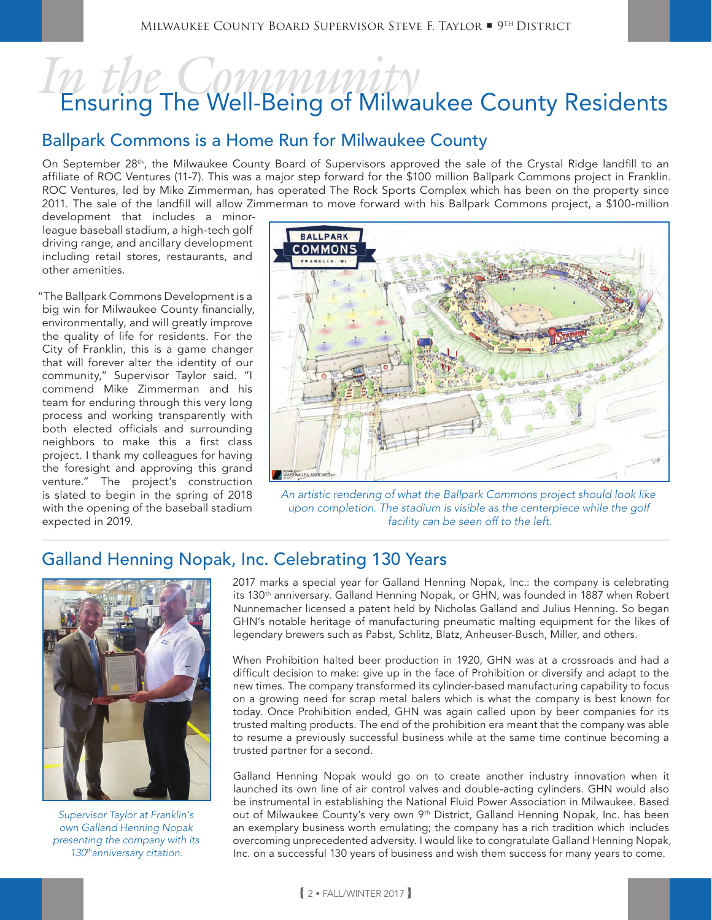## *In the Community* Ensuring The Well-Being of Milwaukee County Residents

#### Ballpark Commons is a Home Run for Milwaukee County

On September 28<sup>th</sup>, the Milwaukee County Board of Supervisors approved the sale of the Crystal Ridge landfill to an affiliate of ROC Ventures (11-7). This was a major step forward for the \$100 million Ballpark Commons project in Franklin. ROC Ventures, led by Mike Zimmerman, has operated The Rock Sports Complex which has been on the property since 2011. The sale of the landfill will allow Zimmerman to move forward with his Ballpark Commons project, a \$100-million

development that includes a minorleague baseball stadium, a high-tech golf driving range, and ancillary development including retail stores, restaurants, and other amenities.

"The Ballpark Commons Development is a big win for Milwaukee County financially, environmentally, and will greatly improve the quality of life for residents. For the City of Franklin, this is a game changer that will forever alter the identity of our community," Supervisor Taylor said. "I commend Mike Zimmerman and his team for enduring through this very long process and working transparently with both elected officials and surrounding neighbors to make this a first class project. I thank my colleagues for having the foresight and approving this grand venture." The project's construction is slated to begin in the spring of 2018 with the opening of the baseball stadium expected in 2019.



*An artistic rendering of what the Ballpark Commons project should look like*  upon completion. The stadium is visible as the centerpiece while the golf facility can be seen off to the left.

#### Galland Henning Nopak, Inc. Celebrating 130 Years



*Supervisor Taylor at Franklin's own Galland Henning Nopak presenting the company with its 130thanniversary citation.*

2017 marks a special year for Galland Henning Nopak, Inc.: the company is celebrating its 130<sup>th</sup> anniversary. Galland Henning Nopak, or GHN, was founded in 1887 when Robert Nunnemacher licensed a patent held by Nicholas Galland and Julius Henning. So began GHN's notable heritage of manufacturing pneumatic malting equipment for the likes of legendary brewers such as Pabst, Schlitz, Blatz, Anheuser-Busch, Miller, and others.

When Prohibition halted beer production in 1920, GHN was at a crossroads and had a difficult decision to make: give up in the face of Prohibition or diversify and adapt to the new times. The company transformed its cylinder-based manufacturing capability to focus on a growing need for scrap metal balers which is what the company is best known for today. Once Prohibition ended, GHN was again called upon by beer companies for its trusted malting products. The end of the prohibition era meant that the company was able to resume a previously successful business while at the same time continue becoming a trusted partner for a second.

Galland Henning Nopak would go on to create another industry innovation when it launched its own line of air control valves and double-acting cylinders. GHN would also be instrumental in establishing the National Fluid Power Association in Milwaukee. Based out of Milwaukee County's very own 9th District, Galland Henning Nopak, Inc. has been an exemplary business worth emulating; the company has a rich tradition which includes overcoming unprecedented adversity. I would like to congratulate Galland Henning Nopak, Inc. on a successful 130 years of business and wish them success for many years to come.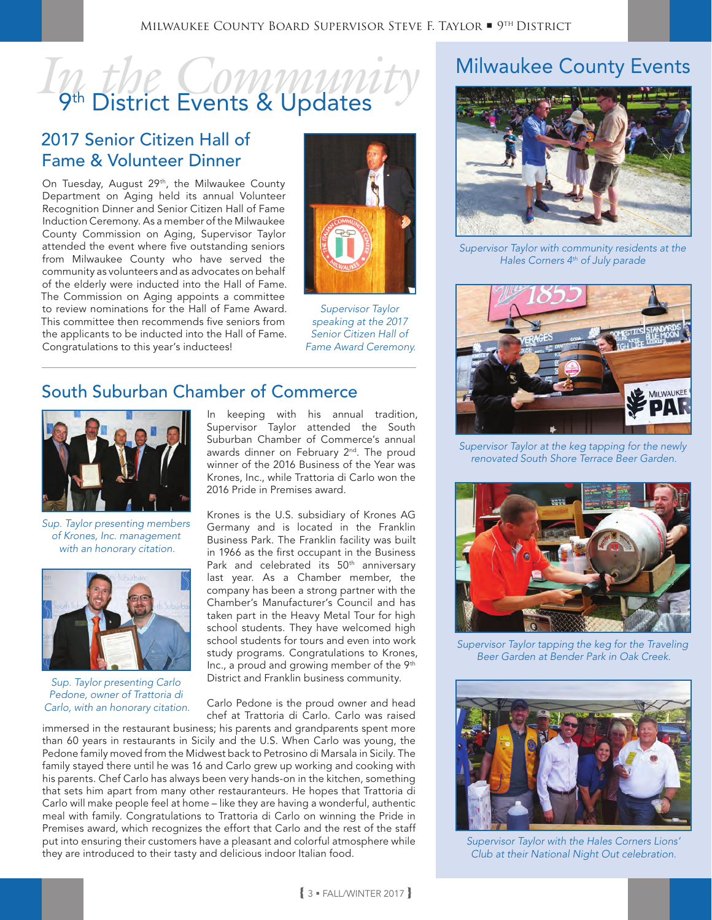### *In the Community* 9<sup>th</sup> District Events & Updates

#### 2017 Senior Citizen Hall of Fame & Volunteer Dinner

On Tuesday, August 29<sup>th</sup>, the Milwaukee County Department on Aging held its annual Volunteer Recognition Dinner and Senior Citizen Hall of Fame Induction Ceremony. As a member of the Milwaukee County Commission on Aging, Supervisor Taylor attended the event where five outstanding seniors from Milwaukee County who have served the community as volunteers and as advocates on behalf of the elderly were inducted into the Hall of Fame. The Commission on Aging appoints a committee to review nominations for the Hall of Fame Award. This committee then recommends five seniors from the applicants to be inducted into the Hall of Fame. Congratulations to this year's inductees!



*Supervisor Taylor speaking at the 2017 Senior Citizen Hall of Fame Award Ceremony.*

#### South Suburban Chamber of Commerce



*Sup. Taylor presenting members of Krones, Inc. management with an honorary citation.*



*Sup. Taylor presenting Carlo Pedone, owner of Trattoria di Carlo, with an honorary citation.*

In keeping with his annual tradition, Supervisor Taylor attended the South Suburban Chamber of Commerce's annual awards dinner on February 2<sup>nd</sup>. The proud winner of the 2016 Business of the Year was Krones, Inc., while Trattoria di Carlo won the 2016 Pride in Premises award.

Krones is the U.S. subsidiary of Krones AG Germany and is located in the Franklin Business Park. The Franklin facility was built in 1966 as the first occupant in the Business Park and celebrated its 50<sup>th</sup> anniversary last year. As a Chamber member, the company has been a strong partner with the Chamber's Manufacturer's Council and has taken part in the Heavy Metal Tour for high school students. They have welcomed high school students for tours and even into work study programs. Congratulations to Krones, Inc., a proud and growing member of the 9<sup>th</sup> District and Franklin business community.

Carlo Pedone is the proud owner and head chef at Trattoria di Carlo. Carlo was raised

immersed in the restaurant business; his parents and grandparents spent more than 60 years in restaurants in Sicily and the U.S. When Carlo was young, the Pedone family moved from the Midwest back to Petrosino di Marsala in Sicily. The family stayed there until he was 16 and Carlo grew up working and cooking with his parents. Chef Carlo has always been very hands-on in the kitchen, something that sets him apart from many other restauranteurs. He hopes that Trattoria di Carlo will make people feel at home – like they are having a wonderful, authentic meal with family. Congratulations to Trattoria di Carlo on winning the Pride in Premises award, which recognizes the effort that Carlo and the rest of the staff put into ensuring their customers have a pleasant and colorful atmosphere while they are introduced to their tasty and delicious indoor Italian food.

#### Milwaukee County Events



*Supervisor Taylor with community residents at the Hales Corners 4th of July parade*



*Supervisor Taylor at the keg tapping for the newly renovated South Shore Terrace Beer Garden.*



*Supervisor Taylor tapping the keg for the Traveling Beer Garden at Bender Park in Oak Creek.*



*Supervisor Taylor with the Hales Corners Lions' Club at their National Night Out celebration.*